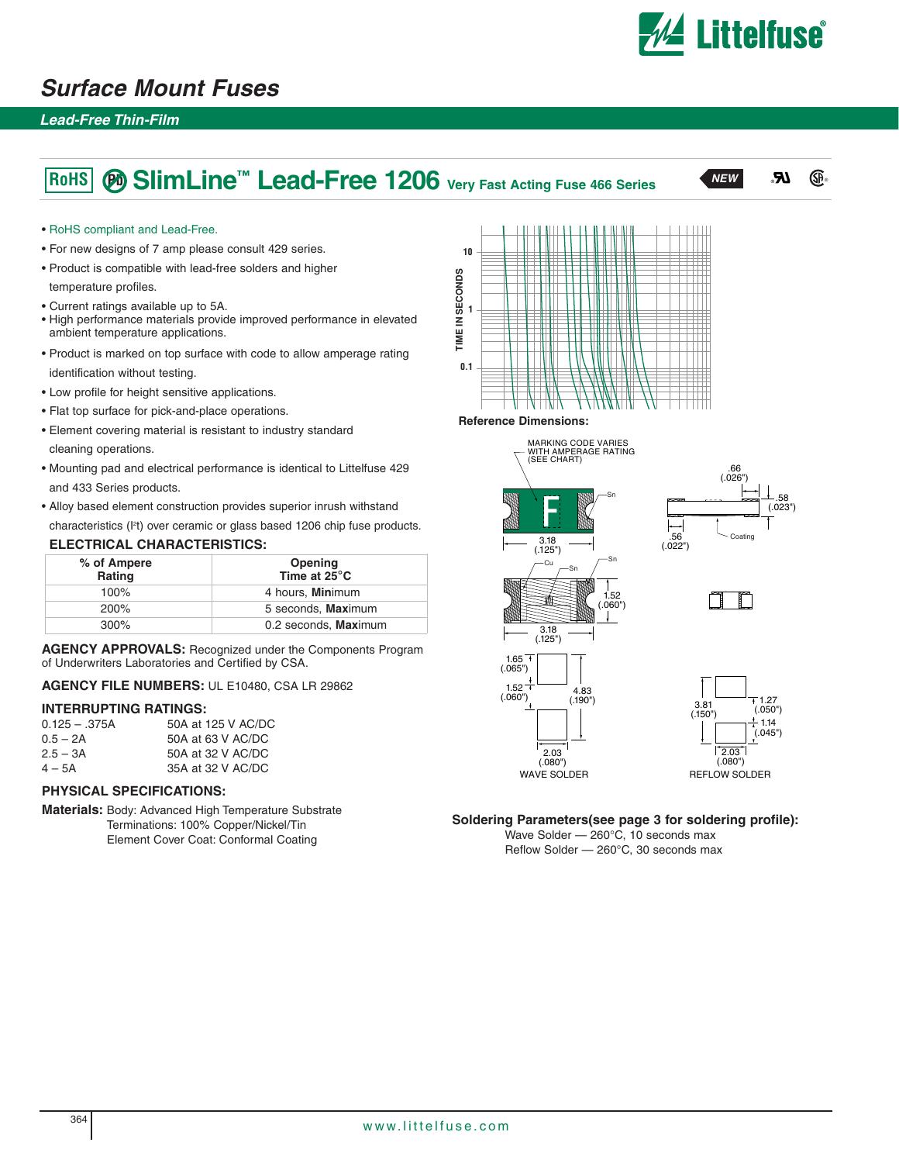

### **Surface Mount Fuses**

#### **Lead-Free Thin-Film**

# **SlimLine™ Lead-Free 1206 Very Fast Acting Fuse 466 Series RoHS Pb NEW**



#### • RoHS compliant and Lead-Free.

- For new designs of 7 amp please consult 429 series.
- Product is compatible with lead-free solders and higher

temperature profiles.

- Current ratings available up to 5A.
- High performance materials provide improved performance in elevated ambient temperature applications.
- Product is marked on top surface with code to allow amperage rating identification without testing.
- Low profile for height sensitive applications.
- Flat top surface for pick-and-place operations.
- Element covering material is resistant to industry standard cleaning operations.
- Mounting pad and electrical performance is identical to Littelfuse 429 and 433 Series products.
- Alloy based element construction provides superior inrush withstand characteristics (I2 t) over ceramic or glass based 1206 chip fuse products.

#### **ELECTRICAL CHARACTERISTICS:**

| % of Ampere<br>Rating | Opening<br>Time at $25^{\circ}$ C |  |  |
|-----------------------|-----------------------------------|--|--|
| 100%                  | 4 hours, <b>Mini</b> mum          |  |  |
| <b>200%</b>           | 5 seconds, Maximum                |  |  |
| $300\%$               | 0.2 seconds, Maximum              |  |  |

**AGENCY APPROVALS:** Recognized under the Components Program of Underwriters Laboratories and Certified by CSA.

**AGENCY FILE NUMBERS:** UL E10480, CSA LR 29862

#### **INTERRUPTING RATINGS:**

| $0.125 - .375A$ | 50A at 125 V AC/DC |
|-----------------|--------------------|
| $0.5 - 2A$      | 50A at 63 V AC/DC  |
| $2.5 - 3A$      | 50A at 32 V AC/DC  |
| $4 - 5A$        | 35A at 32 V AC/DC  |

#### **PHYSICAL SPECIFICATIONS:**

**Materials:** Body: Advanced High Temperature Substrate Terminations: 100% Copper/Nickel/Tin Element Cover Coat: Conformal Coating



**Reference Dimensions:**



**Soldering Parameters(see page 3 for soldering profile):**

Wave Solder — 260°C, 10 seconds max Reflow Solder — 260°C, 30 seconds max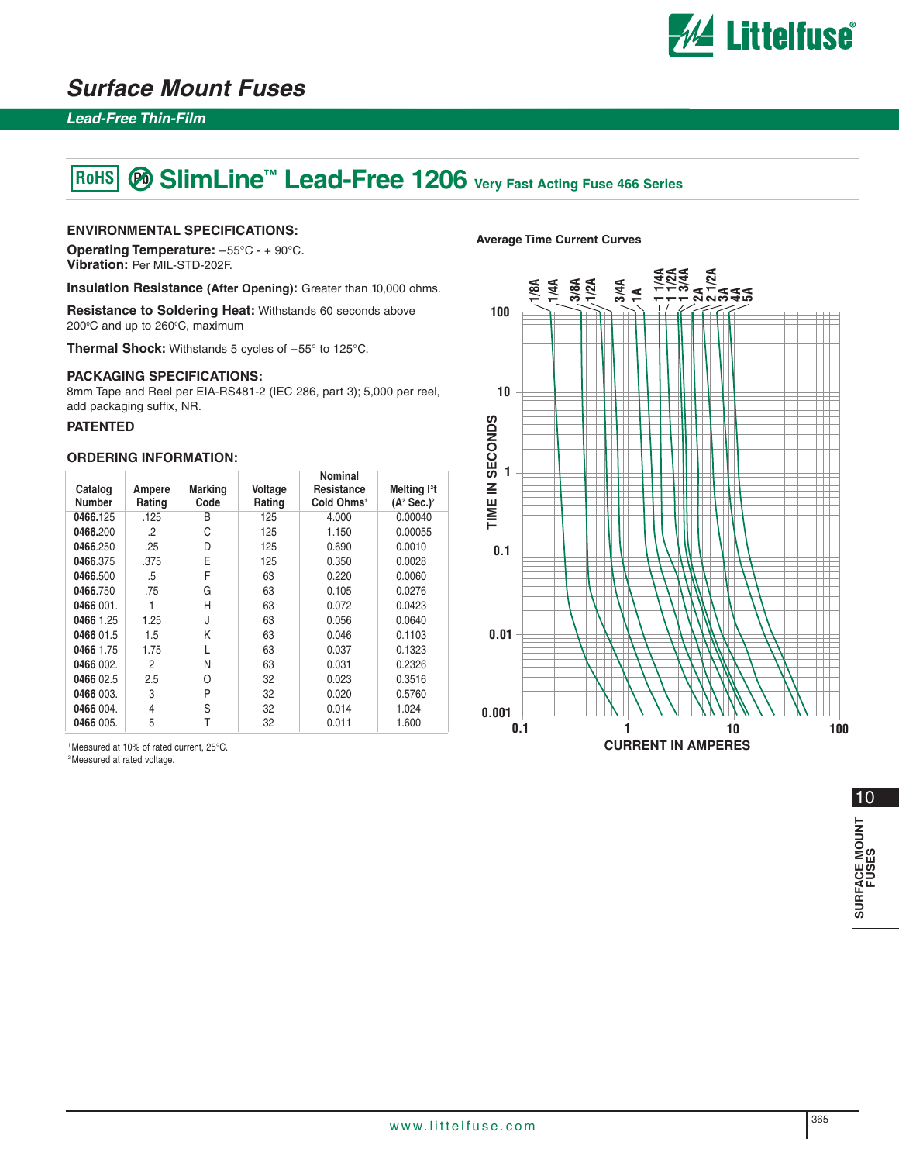

### **Surface Mount Fuses**

#### **Lead-Free Thin-Film**

#### **<sup><sup>***®***</sup> SlimLine™ Lead-Free 1206 Very Fast Acting Fuse 466 Series**</sup> **RoHS**

#### **ENVIRONMENTAL SPECIFICATIONS:**

**Operating Temperature:** –55°C - + 90°C. **Vibration:** Per MIL-STD-202F.

**Insulation Resistance (After Opening):** Greater than 10,000 ohms.

**Resistance to Soldering Heat:** Withstands 60 seconds above 200°C and up to 260°C, maximum

**Thermal Shock:** Withstands 5 cycles of –55° to 125°C.

#### **PACKAGING SPECIFICATIONS:**

8mm Tape and Reel per EIA-RS481-2 (IEC 286, part 3); 5,000 per reel, add packaging suffix, NR.

#### **PATENTED**

#### **ORDERING INFORMATION:**

| Catalog<br><b>Number</b> | Ampere<br>Rating | <b>Marking</b><br>Code | Voltage<br>Rating | Nominal<br>Resistance<br>Cold Ohms <sup>1</sup> | Melting <sup>12</sup> t<br>$(A^2$ Sec.) <sup>2</sup> |
|--------------------------|------------------|------------------------|-------------------|-------------------------------------------------|------------------------------------------------------|
| 0466.125                 | .125             | B                      | 125               | 4.000                                           | 0.00040                                              |
| 0466.200                 | $\cdot$          | С                      | 125               | 1.150                                           | 0.00055                                              |
| 0466.250                 | .25              | D                      | 125               | 0.690                                           | 0.0010                                               |
| 0466.375                 | .375             | E                      | 125               | 0.350                                           | 0.0028                                               |
| 0466.500                 | .5               | F                      | 63                | 0.220                                           | 0.0060                                               |
| 0466.750                 | .75              | G                      | 63                | 0.105                                           | 0.0276                                               |
| 0466 001.                |                  | Н                      | 63                | 0.072                                           | 0.0423                                               |
| 0466 1.25                | 1.25             | J                      | 63                | 0.056                                           | 0.0640                                               |
| 0466 01.5                | 1.5              | Κ                      | 63                | 0.046                                           | 0.1103                                               |
| 0466 1.75                | 1.75             |                        | 63                | 0.037                                           | 0.1323                                               |
| 0466 002.                | 2                | N                      | 63                | 0.031                                           | 0.2326                                               |
| 0466 02.5                | 2.5              | 0                      | 32                | 0.023                                           | 0.3516                                               |
| 0466 003.                | 3                | P                      | 32                | 0.020                                           | 0.5760                                               |
| 0466 004.                | 4                | S                      | 32                | 0.014                                           | 1.024                                                |
| 0466 005.                | 5                |                        | 32                | 0.011                                           | 1.600                                                |

1 Measured at 10% of rated current, 25°C.

<sup>2</sup> Measured at rated voltage.

# **Average Time Current Curves**